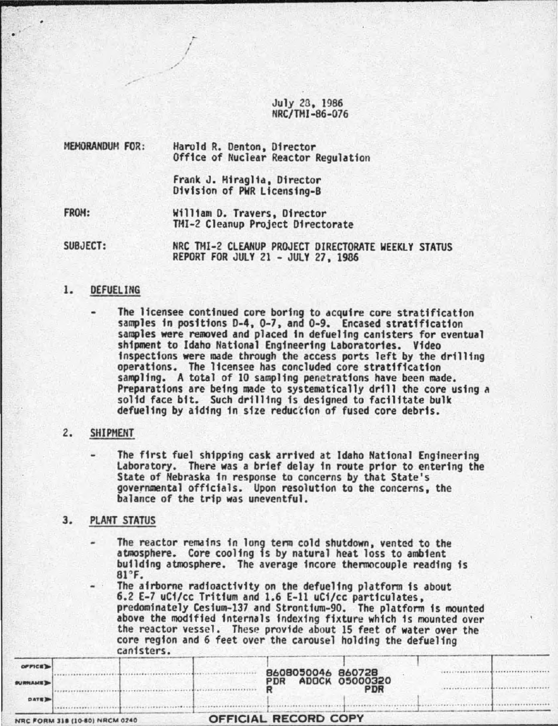July 28, 1986 NRC/THI-86-076

MEHORAHDUH FOR: Harold R. Denton, Director Office of fluclear Reactor Regulation

I /

Frank J. Hfragl1a, Director Division of PWR Licensing-8

FROH: William D. Travers, Director THI-2 Cleanup Project Directorate

SUBJECT: NRC THI-2 CLEANUP PROJECT DIRECTORATE WEEKLY STATUS REPORT FOR JULY 21 -JULY 27, 1986

# 1. DEFUELING

The licensee continued core boring to acquire core stratification samples in positions D-4, 0-7, and 0-9. Encased stratification samples were removed and placed fn defuelfng canisters for eventual shipment to Idaho National Engineering Laboratories. Video<br>inspections were made through the access ports left by the drilling inspections were made through the access ports left by the drilling operations. The licensee has concluded core stratification sampling. A total of 10 sampling penetrations have been made. Preparations are being made to systematically drill the core using a solid face bit. Such drilling is designed to facilitate bulk defue11ng by atdfng fn size reduc'cion of fused core debris.

#### 2. SHIPMENT

The first fuel shipping cask arrtved at Idaho National Engineering Laborator,y. There was a brief delay in route prior to entertng the State of Nebraska in response to concerns by that State's governmental offfctals. Upon resolution to the concerns, the balance of the trip was uneventful.

# 3. PLAHT STATUS

The reactor remdins in long term cold shutdown, vented to the atmosphere. Core cooling is by natural heat loss to ambient building atmosphere. The average incore thennocouple reading is 81"F.

The airborne radioactivity on the defueling platform is about 6.2 E-7 uCi/cc Tritium and 1.6 E-ll uCi/cc particulates, predominately Cestum-137 and Stronttum-90. The platform is mounted above the modified internals indexing fixture which is mounted over the reactor vessel. These provide about 15 feet of water over the core region and 6 feet over the carousel holding the defueling<br>canisters

|                | -----------                    |                             |                   |                                     |  |
|----------------|--------------------------------|-----------------------------|-------------------|-------------------------------------|--|
| OPTICE         |                                |                             | 8608050046 860728 |                                     |  |
| <b>BURNAME</b> |                                |                             | <b>PDR</b>        | <b>ADOCK 05000320</b><br><b>PDR</b> |  |
| <b>DATE</b>    |                                |                             |                   |                                     |  |
|                | NRC FORM 318 (10-80) NRCM 0240 | <b>OFFICIAL RECORD COPY</b> |                   |                                     |  |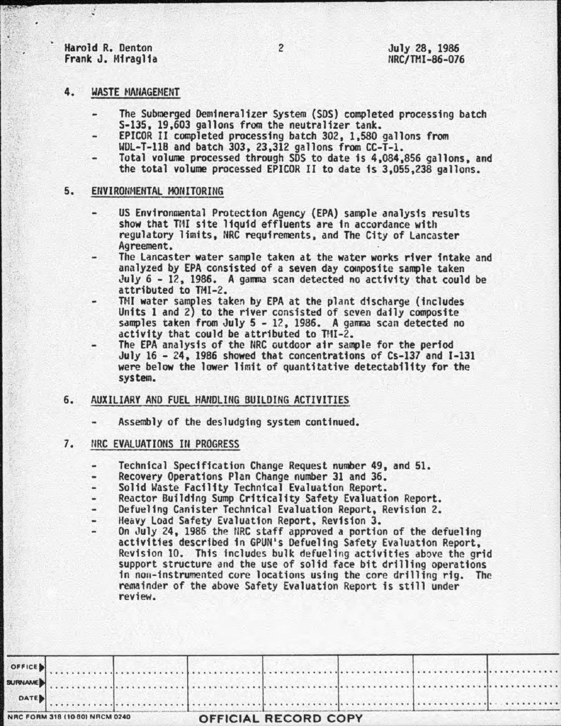Harold R. Denton Frank J. Miraglia

#### 4. WASTE MANAGEMENT

- The Submerged Oemineralizer System (SOS) completed processing batch S-135, 19,603 gallons from the neutralizer tank.
- EPICOR II completed processing batch 302, 1,580 gallons from WOL-T-118 and batch 303, 23,312 gallons from CC-T-1.
- Total volume processed through SDS to date is 4,084.,856 gallons, and the total volume processed EPICOR II to date is 3,055,238 gallons.

#### 5. ENVIRONMENTAL MONITORING

- US Environmental Protection Agency (EPA) sample analysis results show that TMI site liquid effluents are in accordance with regulatory limits, NRC requirements, and The City of Lancaster Agreement.
- The Lancaster water sample taken at the water works river intake and analyzed by EPA consisted of a seven day composite sample taken July 6 - 12, 1986. A gamma scan detected no activity that could be attributed to TMI-2.<br>TMI water samples taken by EPA at the plant discharge (includes
- TMI water samples taken by EPA at the plant discharge (includes Units 1 and 2) to the river consisted of seven daily composite samples taken from July 5 12, 1986. A gamma scan detected no  $activity$  that could be attributed to  $THI - 2$ .
- The EPA analysis of the NRC outdoor air sample for the period July 16 24, 1986 showed that concentrations of Cs-137 and I-131 were below the lower limit of quantitative detectabflity for the system.

### 6. AUXILIARY AND FUEL HANDLING BUILDING ACTIVITIES

Assembly of the desludgfng system continued.

## **7. NRC EVALUATIONS IN PROGRESS**

- Technical Specification Change Request number 49, and 51.  $\blacksquare$
- 
- Recovery Operations Plan Change number 31 and 36.
- Reactor Building Sump Criticality Safety Evaluation Report.
- Defueling Canister Technical Evaluation Report, Revision 2.<br>Heavy Load Safety Evaluation Report, Revision 3.
- 
- On July 24, 1986 the NRC staff approved a portion of the defueling<br>activities described in GPUN's Defueling Safety Evaluation Report,<br>Revision 10. This includes bulk defueling activities above the grid support structure and the use of solid face bit drilling operations<br>in non-instrumented core locations using the core drilling rig. The remainder of the above Safety Evaluation Report is still under review.

| OFFICE                         |  |  |                             |  |  |
|--------------------------------|--|--|-----------------------------|--|--|
| <b>SURNAME</b>                 |  |  |                             |  |  |
| DATE                           |  |  |                             |  |  |
| NRC FORM 318 (10 80) NRCM 0240 |  |  | <b>OFFICIAL RECORD COPY</b> |  |  |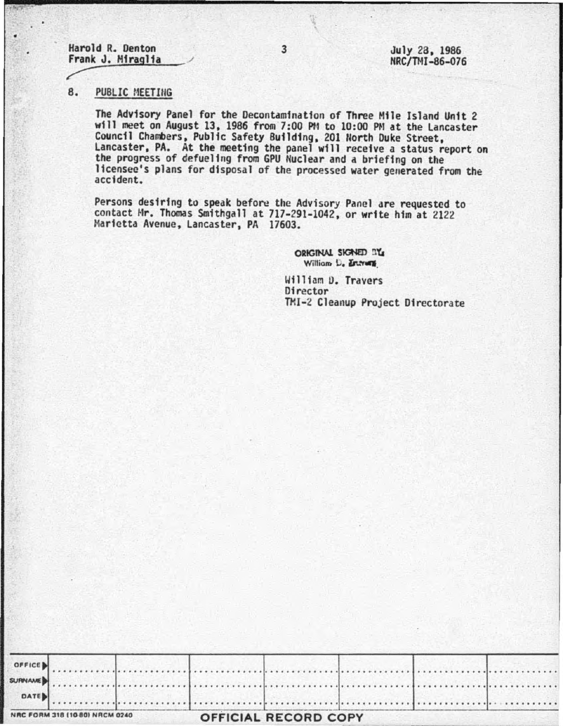Harold R. Denton Frank J. Miraglia

July 28, 1986 NRC/TMI-86-076

#### 8. PUBLIC MEETING

The Advisory Panel for the Decontamination of Three Mile Island Unit 2 will meet on August 13, 1986 from 7:00 PM to 10:00 PM at the Lancaster Council Chambers, Public Safety Building, 201 North Duke Street, Lancaster, PA. At the meeting the panel will receive a status report on the progress of defueling from GPU Nuclear and a briefing on the licensee's plans for disposal of the processed water generated from the accident.

Persons desiring to speak before the Advisory Panel are requested to contact Mr. Thomas Smithgall at 717-291-1042, or write him at 2122 Marietta Avenue, Lancaster, PA 17603.

> ORIGINAL SIGNED IT'S William D. Entrans

William D. Travers Director TMI-2 Cleanup Project Directorate

| NRC FORM 318 (10 80) NRCM 0240 |  | <b>OFFICIAL RECORD COPY</b> |  |  |
|--------------------------------|--|-----------------------------|--|--|